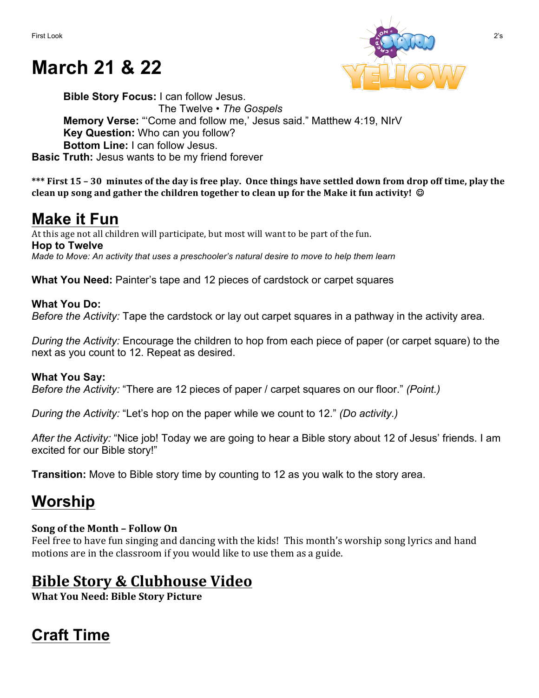# **March 21 & 22**



**Bible Story Focus:** I can follow Jesus. The Twelve • *The Gospels* **Memory Verse:** "'Come and follow me,' Jesus said." Matthew 4:19, NIrV **Key Question:** Who can you follow? **Bottom Line:** I can follow Jesus. **Basic Truth:** Jesus wants to be my friend forever

\*\*\* First 15 – 30 minutes of the day is free play. Once things have settled down from drop off time, play the **clean up song and gather the children together to clean up for the Make it fun activity!** ©

## **Make it Fun**

At this age not all children will participate, but most will want to be part of the fun. **Hop to Twelve** *Made to Move: An activity that uses a preschooler's natural desire to move to help them learn*

**What You Need:** Painter's tape and 12 pieces of cardstock or carpet squares

### **What You Do:** *Before the Activity:* Tape the cardstock or lay out carpet squares in a pathway in the activity area.

*During the Activity:* Encourage the children to hop from each piece of paper (or carpet square) to the next as you count to 12. Repeat as desired.

### **What You Say:**

*Before the Activity:* "There are 12 pieces of paper / carpet squares on our floor." *(Point.)*

*During the Activity:* "Let's hop on the paper while we count to 12." *(Do activity.)*

*After the Activity:* "Nice job! Today we are going to hear a Bible story about 12 of Jesus' friends. I am excited for our Bible story!"

**Transition:** Move to Bible story time by counting to 12 as you walk to the story area.

# **Worship**

### **Song of the Month – Follow On**

Feel free to have fun singing and dancing with the kids! This month's worship song lyrics and hand motions are in the classroom if you would like to use them as a guide.

## **Bible Story & Clubhouse Video**

**What You Need: Bible Story Picture** 

# **Craft Time**